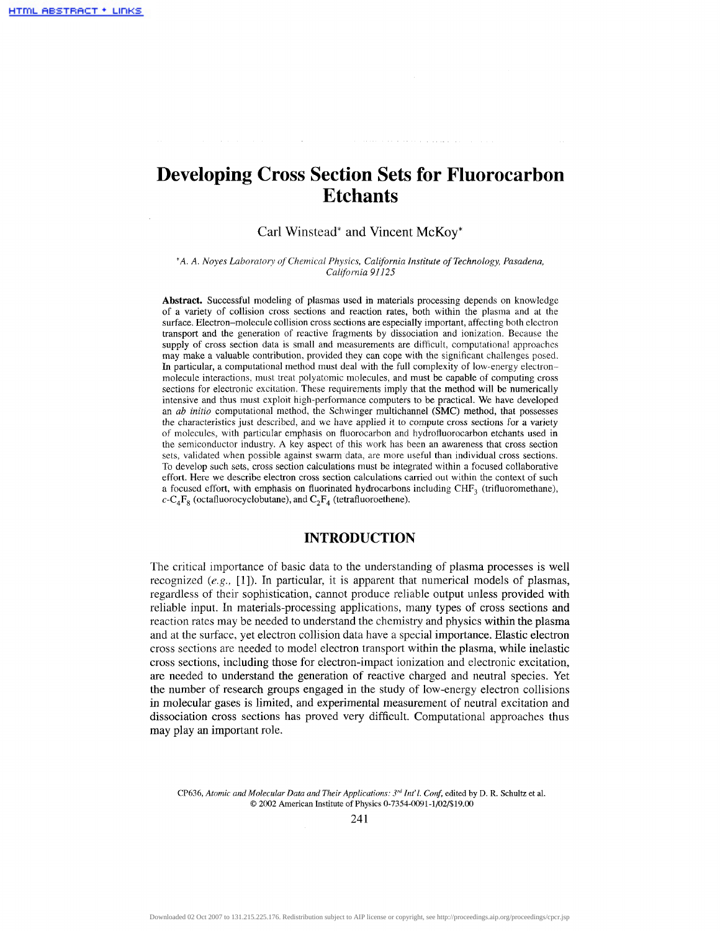# **Developing Cross Section Sets for Fluorocarbon Etchants**

Carl Winstead\* and Vincent McKoy\*

*\*A. A. Noyes Laboratory of Chemical Physics, California Institute of Technology, Pasadena, California 91125*

**Abstract.** Successful modeling of plasmas used in materials processing depends on knowledge of a variety of collision cross sections and reaction rates, both within the plasma and at the surface. Electron-molecule collision cross sections are especially important, affecting both electron transport and the generation of reactive fragments by dissociation and ionization. Because the supply of cross section data is small and measurements are difficult, computational approaches may make a valuable contribution, provided they can cope with the significant challenges posed. In particular, a computational method must deal with the full complexity of low-energy electronmolecule interactions, must treat polyatomic molecules, and must be capable of computing cross sections for electronic excitation. These requirements imply that the method will be numerically intensive and thus must exploit high-performance computers to be practical. We have developed an *ab initio* computational method, the Schwinger multichannel (SMC) method, that possesses the characteristics just described, and we have applied it to compute cross sections for a variety of molecules, with particular emphasis on fluorocarbon and hydrofluorocarbon etchants used in the semiconductor industry. A key aspect of this work has been an awareness that cross section sets, validated when possible against swarm data, are more useful than individual cross sections. To develop such sets, cross section calculations must be integrated within a focused collaborative effort. Here we describe electron cross section calculations carried out within the context of such a focused effort, with emphasis on fluorinated hydrocarbons including CHF<sub>3</sub> (trifluoromethane),  $c$ -C<sub>4</sub>F<sub>8</sub> (octafluorocyclobutane), and C<sub>2</sub>F<sub>4</sub> (tetrafluoroethene).

### **INTRODUCTION**

The critical importance of basic data to the understanding of plasma processes is well recognized *(e.g.,* [1]). In particular, it is apparent that numerical models of plasmas, regardless of their sophistication, cannot produce reliable output unless provided with reliable input. In materials-processing applications, many types of cross sections and reaction rates may be needed to understand the chemistry and physics within the plasma and at the surface, yet electron collision data have a special importance. Elastic electron cross sections are needed to model electron transport within the plasma, while inelastic cross sections, including those for electron-impact ionization and electronic excitation, are needed to understand the generation of reactive charged and neutral species. Yet the number of research groups engaged in the study of low-energy electron collisions in molecular gases is limited, and experimental measurement of neutral excitation and dissociation cross sections has proved very difficult. Computational approaches thus may play an important role.

CP636, Atomic and Molecular Data and Their Applications: 3<sup>rd</sup> Int'l. Conf, edited by D. R. Schultz et al. © 2002 American Institute of Physics 0-7354-009l-l/02/\$ 19.00

241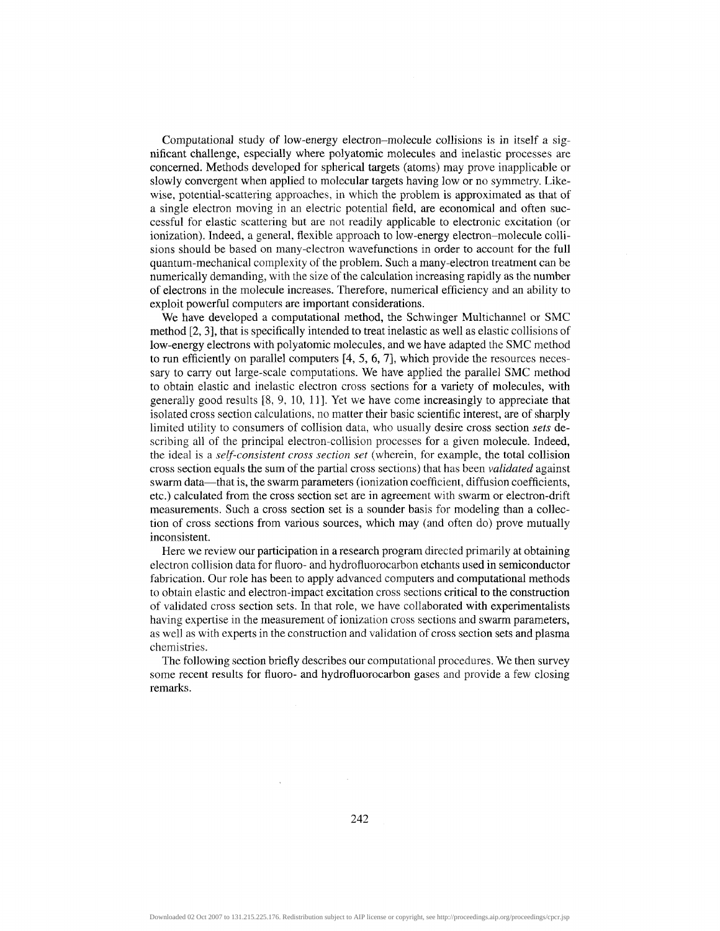Computational study of low-energy electron-molecule collisions is in itself a significant challenge, especially where polyatomic molecules and inelastic processes are concerned. Methods developed for spherical targets (atoms) may prove inapplicable or slowly convergent when applied to molecular targets having low or no symmetry. Likewise, potential-scattering approaches, in which the problem is approximated as that of a single electron moving in an electric potential field, are economical and often successful for elastic scattering but are not readily applicable to electronic excitation (or ionization). Indeed, a general, flexible approach to low-energy electron-molecule collisions should be based on many-electron wavefunctions in order to account for the full quantum-mechanical complexity of the problem. Such a many-electron treatment can be numerically demanding, with the size of the calculation increasing rapidly as the number of electrons in the molecule increases. Therefore, numerical efficiency and an ability to exploit powerful computers are important considerations.

We have developed a computational method, the Schwinger Multichannel or SMC method [2, 3], that is specifically intended to treat inelastic as well as elastic collisions of low-energy electrons with polyatomic molecules, and we have adapted the SMC method to run efficiently on parallel computers [4, 5, 6, 7], which provide the resources necessary to carry out large-scale computations. We have applied the parallel SMC method to obtain elastic and inelastic electron cross sections for a variety of molecules, with generally good results [8, 9, 10, 11]. Yet we have come increasingly to appreciate that isolated cross section calculations, no matter their basic scientific interest, are of sharply limited utility to consumers of collision data, who usually desire cross section *sets* describing all of the principal electron-collision processes for a given molecule. Indeed, the ideal is a *self-consistent cross section set* (wherein, for example, the total collision cross section equals the sum of the partial cross sections) that has been *validated* against swarm data—that is, the swarm parameters (ionization coefficient, diffusion coefficients, etc.) calculated from the cross section set are in agreement with swarm or electron-drift measurements. Such a cross section set is a sounder basis for modeling than a collection of cross sections from various sources, which may (and often do) prove mutually inconsistent.

Here we review our participation in a research program directed primarily at obtaining electron collision data for fluoro- and hydrofluorocarbon etchants used in semiconductor fabrication. Our role has been to apply advanced computers and computational methods to obtain elastic and electron-impact excitation cross sections critical to the construction of validated cross section sets. In that role, we have collaborated with experimentalists having expertise in the measurement of ionization cross sections and swarm parameters, as well as with experts in the construction and validation of cross section sets and plasma chemistries.

The following section briefly describes our computational procedures. We then survey some recent results for fluoro- and hydrofluorocarbon gases and provide a few closing remarks.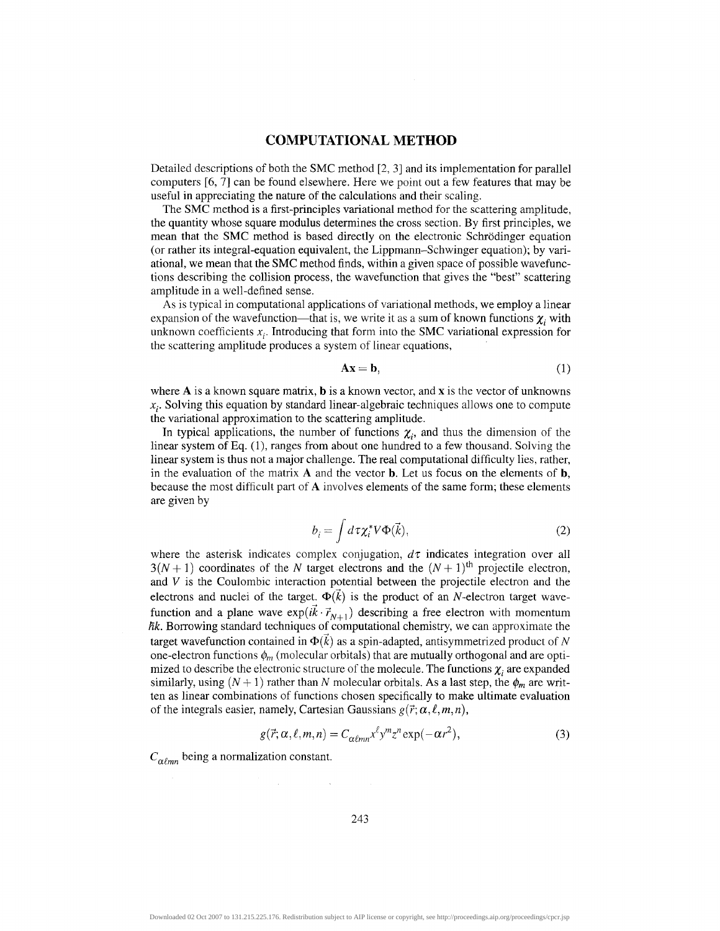### **COMPUTATIONAL METHOD**

Detailed descriptions of both the SMC method [2, 3] and its implementation for parallel computers [6, 7] can be found elsewhere. Here we point out a few features that may be useful in appreciating the nature of the calculations and their scaling.

The SMC method is a first-principles variational method for the scattering amplitude, the quantity whose square modulus determines the cross section. By first principles, we mean that the SMC method is based directly on the electronic Schrodinger equation (or rather its integral-equation equivalent, the Lippmann-Schwinger equation); by variational, we mean that the SMC method finds, within a given space of possible wavefunctions describing the collision process, the wavefunction that gives the "best" scattering amplitude in a well-defined sense.

As is typical in computational applications of variational methods, we employ a linear expansion of the wavefunction—that is, we write it as a sum of known functions  $\chi_i$  with unknown coefficients  $x_i$ . Introducing that form into the SMC variational expression for the scattering amplitude produces a system of linear equations,

$$
Ax = b,\t(1)
$$

where  $\bf{A}$  is a known square matrix, **b** is a known vector, and  $\bf{x}$  is the vector of unknowns  $x_i$ . Solving this equation by standard linear-algebraic techniques allows one to compute the variational approximation to the scattering amplitude.

In typical applications, the number of functions  $\chi_i$ , and thus the dimension of the linear system of Eq. (1), ranges from about one hundred to a few thousand. Solving the linear system is thus not a major challenge. The real computational difficulty lies, rather, in the evaluation of the matrix  $A$  and the vector  $b$ . Let us focus on the elements of  $b$ , because the most difficult part of A involves elements of the same form; these elements are given by

$$
b_i = \int d\tau \chi_i^* V \Phi(\vec{k}), \qquad (2)
$$

where the asterisk indicates complex conjugation,  $d\tau$  indicates integration over all  $3(N + 1)$  coordinates of the N target electrons and the  $(N + 1)$ <sup>th</sup> projectile electron, and *V* is the Coulombic interaction potential between the projectile electron and the electrons and nuclei of the target.  $\Phi(\vec{k})$  is the product of an N-electron target wavefunction and a plane wave  $exp(i\vec{k}\cdot \vec{r}_{N+1})$  describing a free electron with momentum *Hk.* Borrowing standard techniques of computational chemistry, we can approximate the target wavefunction contained in  $\Phi(\vec{k})$  as a spin-adapted, antisymmetrized product of N one-electron functions  $\phi_m$  (molecular orbitals) that are mutually orthogonal and are optimized to describe the electronic structure of the molecule. The functions  $\chi$  are expanded similarly, using  $(N + 1)$  rather than N molecular orbitals. As a last step, the  $\phi_m$  are written as linear combinations of functions chosen specifically to make ultimate evaluation of the integrals easier, namely, Cartesian Gaussians  $g(\vec{r}; \alpha, \ell, m, n)$ ,

$$
g(\vec{r}; \alpha, \ell, m, n) = C_{\alpha \ell m n} x^{\ell} y^{m} z^{n} \exp(-\alpha r^{2}),
$$
\n(3)

 $C_{\alpha \ell mn}$  being a normalization constant.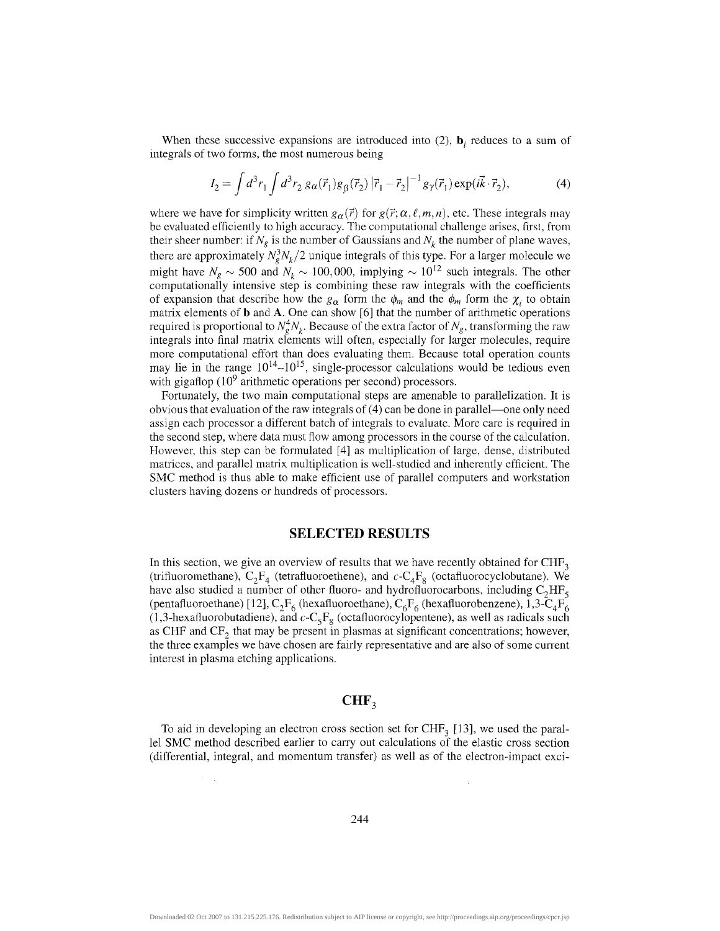When these successive expansions are introduced into (2),  $\mathbf{b}_i$ , reduces to a sum of integrals of two forms, the most numerous being

$$
I_2 = \int d^3 r_1 \int d^3 r_2 \, g_{\alpha}(\vec{r}_1) g_{\beta}(\vec{r}_2) \left| \vec{r}_1 - \vec{r}_2 \right|^{-1} g_{\gamma}(\vec{r}_1) \exp(i\vec{k} \cdot \vec{r}_2), \tag{4}
$$

where we have for simplicity written  $g_{\alpha}(\vec{r})$  for  $g(\vec{r}; \alpha, \ell, m, n)$ , etc. These integrals may be evaluated efficiently to high accuracy. The computational challenge arises, first, from their sheer number: if  $N_g$  is the number of Gaussians and  $N_k$  the number of plane waves, there are approximately  $N_e^3 N_k/2$  unique integrals of this type. For a larger molecule we might have  $N_g \sim 500$  and  $N_k \sim 100,000$ , implying  $\sim 10^{12}$  such integrals. The other computationally intensive step is combining these raw integrals with the coefficients of expansion that describe how the  $g_\alpha$  form the  $\phi_m$  and the  $\phi_m$  form the  $\chi_i$  to obtain matrix elements of  $\bf{b}$  and  $\bf{A}$ . One can show [6] that the number of arithmetic operations required is proportional to  $N_g^4 N_k$ . Because of the extra factor of  $N_g$ , transforming the raw integrals into final matrix elements will often, especially for larger molecules, require more computational effort than does evaluating them. Because total operation counts may lie in the range  $10^{14}$ - $10^{15}$ , single-processor calculations would be tedious even with gigaflop (10<sup>9</sup> arithmetic operations per second) processors.

Fortunately, the two main computational steps are amenable to parallelization. It is obvious that evaluation of the raw integrals of (4) can be done in parallel—one only need assign each processor a different batch of integrals to evaluate. More care is required in the second step, where data must flow among processors in the course of the calculation. However, this step can be formulated [4] as multiplication of large, dense, distributed matrices, and parallel matrix multiplication is well-studied and inherently efficient. The SMC method is thus able to make efficient use of parallel computers and workstation clusters having dozens or hundreds of processors.

### **SELECTED RESULTS**

In this section, we give an overview of results that we have recently obtained for  $CHF<sub>3</sub>$ (trifluoromethane),  $C_2F_4$  (tetrafluoroethene), and  $c-C_4F_8$  (octafluorocyclobutane). We have also studied a number of other fluoro- and hydrofluorocarbons, including  $C_2HF_5$ (pentafluoroethane) [12],  $C_2F_6$  (hexafluoroethane),  $C_6F_6$  (hexafluorobenzene), 1,3- $C_4F_6$ (1,3-hexafluorobutadiene), and  $c$ -C<sub>5</sub>F<sub>g</sub> (octafluorocylopentene), as well as radicals such as CHF and  $CF<sub>2</sub>$  that may be present in plasmas at significant concentrations; however, the three examples we have chosen are fairly representative and are also of some current interest in plasma etching applications.

### **CHF<sup>3</sup>**

To aid in developing an electron cross section set for  $CHF<sub>3</sub>$  [13], we used the parallel SMC method described earlier to carry out calculations of the elastic cross section (differential, integral, and momentum transfer) as well as of the electron-impact exci-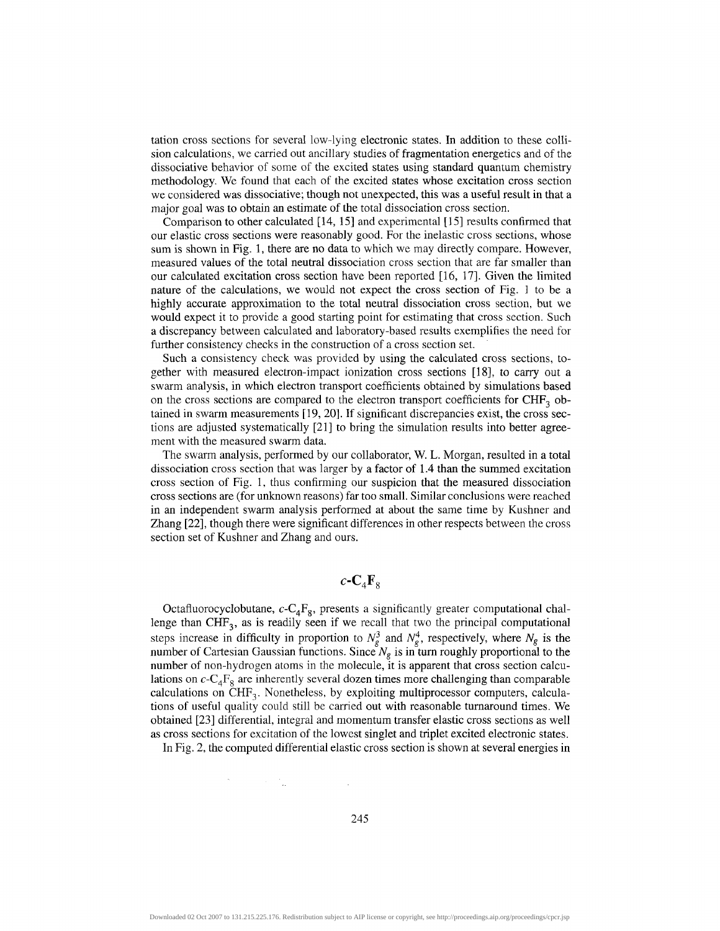tation cross sections for several low-lying electronic states. In addition to these collision calculations, we carried out ancillary studies of fragmentation energetics and of the dissociative behavior of some of the excited states using standard quantum chemistry methodology. We found that each of the excited states whose excitation cross section we considered was dissociative; though not unexpected, this was a useful result in that a major goal was to obtain an estimate of the total dissociation cross section.

Comparison to other calculated [14, 15] and experimental [15] results confirmed that our elastic cross sections were reasonably good. For the inelastic cross sections, whose sum is shown in Fig. 1, there are no data to which we may directly compare. However, measured values of the total neutral dissociation cross section that are far smaller than our calculated excitation cross section have been reported [16, 17]. Given the limited nature of the calculations, we would not expect the cross section of Fig. 1 to be a highly accurate approximation to the total neutral dissociation cross section, but we would expect it to provide a good starting point for estimating that cross section. Such a discrepancy between calculated and laboratory-based results exemplifies the need for further consistency checks in the construction of a cross section set.

Such a consistency check was provided by using the calculated cross sections, together with measured electron-impact ionization cross sections [18], to carry out a swarm analysis, in which electron transport coefficients obtained by simulations based on the cross sections are compared to the electron transport coefficients for  $CHF<sub>3</sub>$  obtained in swarm measurements [19, 20]. If significant discrepancies exist, the cross sections are adjusted systematically [21] to bring the simulation results into better agreement with the measured swarm data.

The swarm analysis, performed by our collaborator, W. L. Morgan, resulted in a total dissociation cross section that was larger by a factor of 1.4 than the summed excitation cross section of Fig. 1, thus confirming our suspicion that the measured dissociation cross sections are (for unknown reasons) far too small. Similar conclusions were reached in an independent swarm analysis performed at about the same time by Kushner and Zhang [22], though there were significant differences in other respects between the cross section set of Kushner and Zhang and ours.

## $c$ -C<sub>4</sub>F<sub>8</sub>

Octafluorocyclobutane,  $c - C_4F_8$ , presents a significantly greater computational challenge than  $CHF<sub>3</sub>$ , as is readily seen if we recall that two the principal computational steps increase in difficulty in proportion to  $N_g^3$  and  $N_g^4$ , respectively, where  $N_g$  is the number of Cartesian Gaussian functions. Since *Ng* is in turn roughly proportional to the number of non-hydrogen atoms in the molecule, it is apparent that cross section calculations on  $c$ -C<sub>4</sub>F<sub>8</sub> are inherently several dozen times more challenging than comparable calculations on  $CHF_3$ . Nonetheless, by exploiting multiprocessor computers, calculations of useful quality could still be carried out with reasonable turnaround times. We obtained [23] differential, integral and momentum transfer elastic cross sections as well as cross sections for excitation of the lowest singlet and triplet excited electronic states.

In Fig. 2, the computed differential elastic cross section is shown at several energies in

 $\label{eq:2.1} \mathcal{F}(\mathcal{F}) = \mathcal{F}(\mathcal{F}) = \mathcal{F}(\mathcal{F})$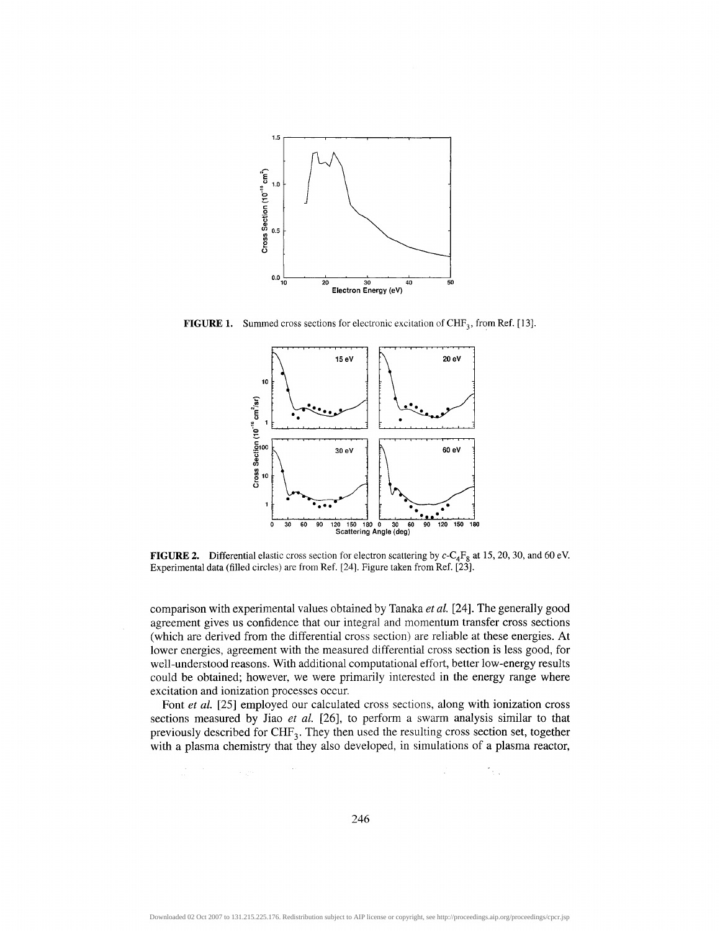

**FIGURE 1.** Summed cross sections for electronic excitation of CHF<sub>3</sub>, from Ref. [13].



**FIGURE 2.** Differential elastic cross section for electron scattering by  $c - C_4F_8$  at 15, 20, 30, and 60 eV. Experimental data (filled circles) are from Ref. [24]. Figure taken from Ref. [23].

comparison with experimental values obtained by Tanaka *et al* [24]. The generally good agreement gives us confidence that our integral and momentum transfer cross sections (which are derived from the differential cross section) are reliable at these energies. At lower energies, agreement with the measured differential cross section is less good, for well-understood reasons. With additional computational effort, better low-energy results could be obtained; however, we were primarily interested in the energy range where excitation and ionization processes occur.

Font *et al.* [25] employed our calculated cross sections, along with ionization cross sections measured by Jiao *et al.* [26], to perform a swarm analysis similar to that previously described for  $CHF<sub>3</sub>$ . They then used the resulting cross section set, together with a plasma chemistry that they also developed, in simulations of a plasma reactor,

t.

 $\mathcal{O}(\mathcal{O}_\mathcal{O})$  . The set of  $\mathcal{O}_\mathcal{O}(\mathcal{O}_\mathcal{O})$ 

246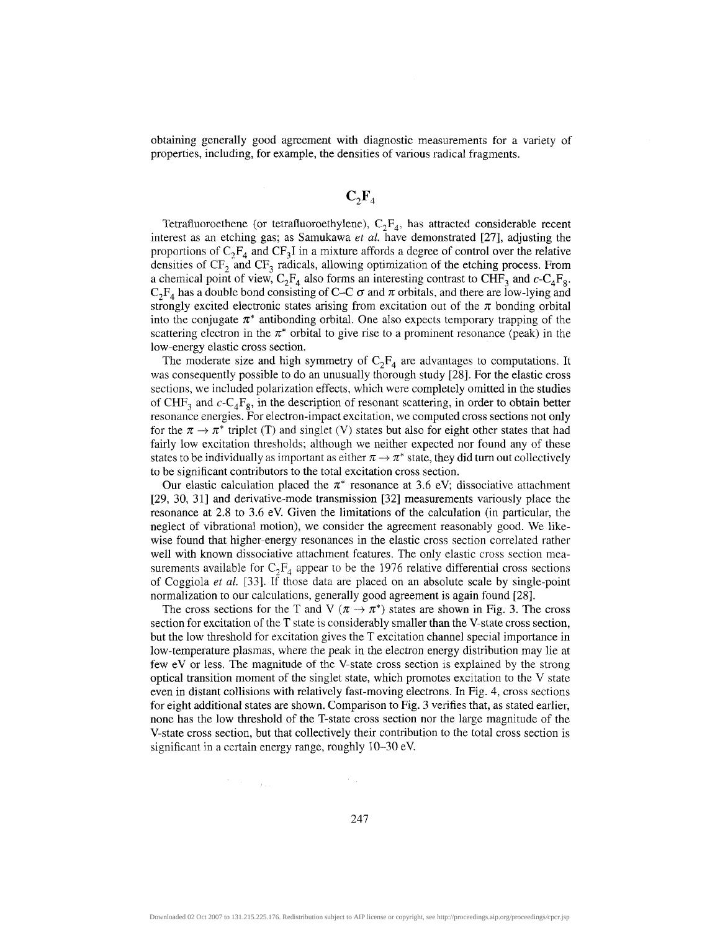obtaining generally good agreement with diagnostic measurements for a variety of properties, including, for example, the densities of various radical fragments.

## $C_2F_4$

Tetrafluoroethene (or tetrafluoroethylene),  $C_2F_4$ , has attracted considerable recent interest as an etching gas; as Samukawa *et al* have demonstrated [27], adjusting the proportions of  $C_2F_4$  and  $CF_3I$  in a mixture affords a degree of control over the relative densities of  $CF_2$  and  $CF_3$  radicals, allowing optimization of the etching process. From a chemical point of view,  $C_2F_4$  also forms an interesting contrast to CHF<sub>3</sub> and  $c$ -C<sub>4</sub>F<sub>8</sub>.  $C_2F_4$  has a double bond consisting of C-C  $\sigma$  and  $\pi$  orbitals, and there are low-lying and strongly excited electronic states arising from excitation out of the  $\pi$  bonding orbital into the conjugate  $\pi^*$  antibonding orbital. One also expects temporary trapping of the scattering electron in the  $\pi^*$  orbital to give rise to a prominent resonance (peak) in the low-energy elastic cross section.

The moderate size and high symmetry of  $C_2F_4$  are advantages to computations. It was consequently possible to do an unusually thorough study [28]. For the elastic cross sections, we included polarization effects, which were completely omitted in the studies of CHF<sub>3</sub> and  $c$ -C<sub>4</sub>F<sub>8</sub>, in the description of resonant scattering, in order to obtain better resonance energies. For electron-impact excitation, we computed cross sections not only for the  $\pi \to \pi^*$  triplet (T) and singlet (V) states but also for eight other states that had fairly low excitation thresholds; although we neither expected nor found any of these states to be individually as important as either  $\pi \rightarrow \pi^*$  state, they did turn out collectively to be significant contributors to the total excitation cross section.

Our elastic calculation placed the  $\pi^*$  resonance at 3.6 eV; dissociative attachment [29, 30, 31] and derivative-mode transmission [32] measurements variously place the resonance at 2.8 to 3.6 eV. Given the limitations of the calculation (in particular, the neglect of vibrational motion), we consider the agreement reasonably good. We likewise found that higher-energy resonances in the elastic cross section correlated rather well with known dissociative attachment features. The only elastic cross section measurements available for  $C_2F_4$  appear to be the 1976 relative differential cross sections of Coggiola *et al.* [33]. If those data are placed on an absolute scale by single-point normalization to our calculations, generally good agreement is again found [28].

The cross sections for the T and V ( $\pi \rightarrow \pi^*$ ) states are shown in Fig. 3. The cross section for excitation of the T state is considerably smaller than the V-state cross section, but the low threshold for excitation gives the T excitation channel special importance in low-temperature plasmas, where the peak in the electron energy distribution may lie at few eV or less. The magnitude of the V-state cross section is explained by the strong optical transition moment of the singlet state, which promotes excitation to the V state even in distant collisions with relatively fast-moving electrons. In Fig. 4, cross sections for eight additional states are shown. Comparison to Fig. 3 verifies that, as stated earlier, none has the low threshold of the T-state cross section nor the large magnitude of the V-state cross section, but that collectively their contribution to the total cross section is significant in a certain energy range, roughly 10-30 eV.

 $\mathcal{F} = \{ \mathcal{F} \}$  ,  $\mathcal{F}_{\mathcal{F}}$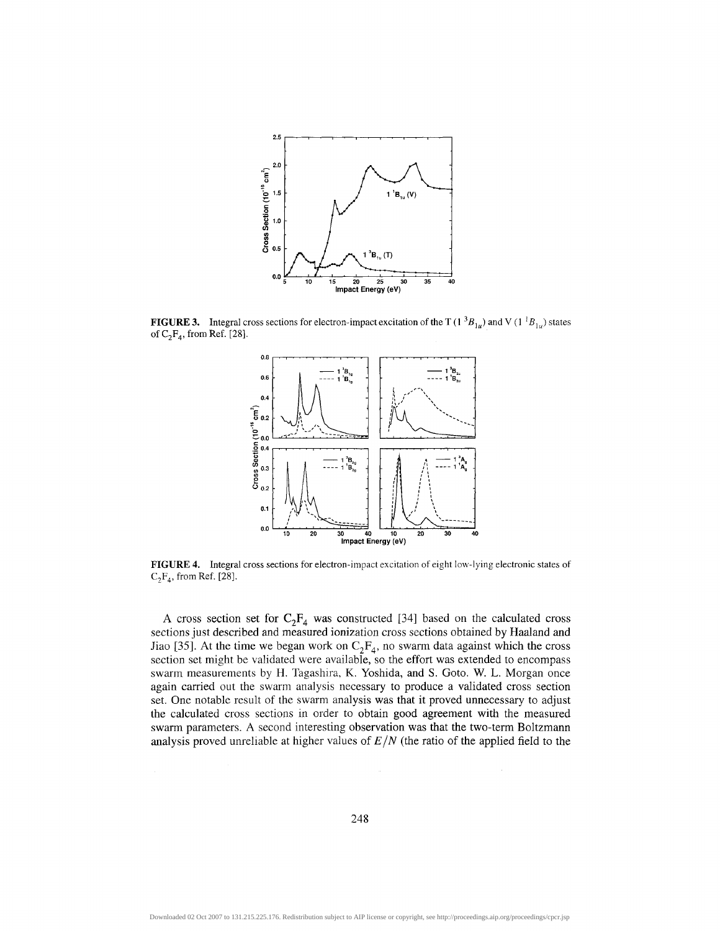

**FIGURE 3.** Integral cross sections for electron-impact excitation of the T (1<sup>3</sup> $B_{1u}$ ) and V (1<sup>1</sup> $B_{1u}$ ) states of  $C_2F_4$ , from Ref. [28].



**FIGURE 4.** Integral cross sections for electron-impact excitation of eight low-lying electronic states of  $C_2F_4$ , from Ref. [28].

A cross section set for  $C_2F_4$  was constructed [34] based on the calculated cross sections just described and measured ionization cross sections obtained by Haaland and Jiao [35]. At the time we began work on  $C_2F_4$ , no swarm data against which the cross section set might be validated were available, so the effort was extended to encompass swarm measurements by H. Tagashira, K. Yoshida, and S. Goto. W. L. Morgan once again carried out the swarm analysis necessary to produce a validated cross section set. One notable result of the swarm analysis was that it proved unnecessary to adjust the calculated cross sections in order to obtain good agreement with the measured swarm parameters. A second interesting observation was that the two-term Boltzmann analysis proved unreliable at higher values of *E/N* (the ratio of the applied field to the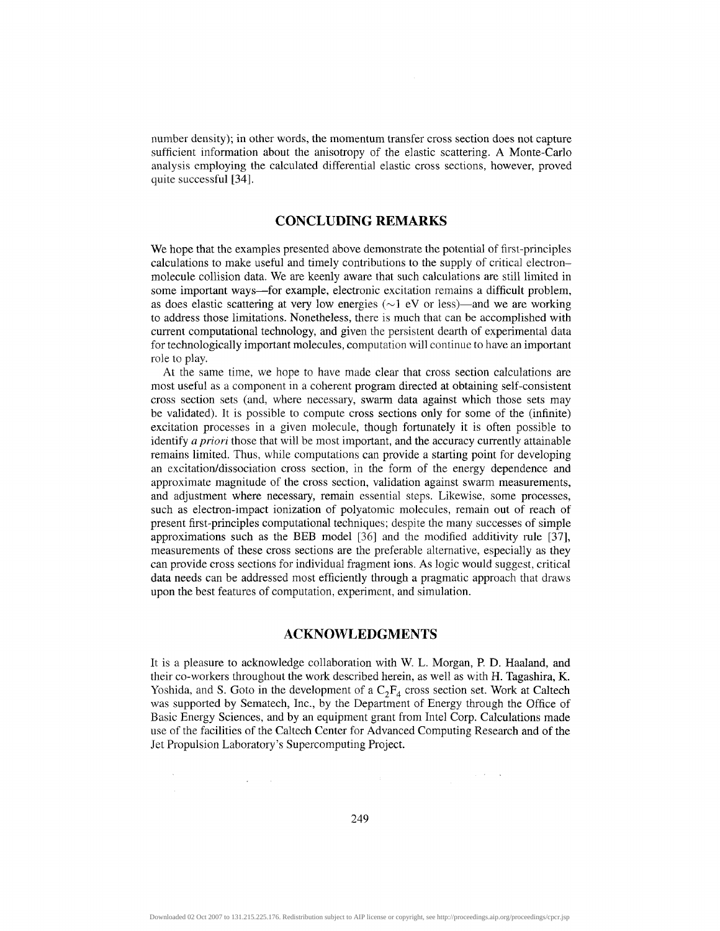number density); in other words, the momentum transfer cross section does not capture sufficient information about the anisotropy of the elastic scattering. A Monte-Carlo analysis employing the calculated differential elastic cross sections, however, proved quite successful [34].

## **CONCLUDING REMARKS**

We hope that the examples presented above demonstrate the potential of first-principles calculations to make useful and timely contributions to the supply of critical electronmolecule collision data. We are keenly aware that such calculations are still limited in some important ways—for example, electronic excitation remains a difficult problem, as does elastic scattering at very low energies ( $\sim$ 1 eV or less)—and we are working to address those limitations. Nonetheless, there is much that can be accomplished with current computational technology, and given the persistent dearth of experimental data for technologically important molecules, computation will continue to have an important role to play.

At the same time, we hope to have made clear that cross section calculations are most useful as a component in a coherent program directed at obtaining self-consistent cross section sets (and, where necessary, swarm data against which those sets may be validated). It is possible to compute cross sections only for some of the (infinite) excitation processes in a given molecule, though fortunately it is often possible to identify *a priori* those that will be most important, and the accuracy currently attainable remains limited. Thus, while computations can provide a starting point for developing an excitation/dissociation cross section, in the form of the energy dependence and approximate magnitude of the cross section, validation against swarm measurements, and adjustment where necessary, remain essential steps. Likewise, some processes, such as electron-impact ionization of polyatomic molecules, remain out of reach of present first-principles computational techniques; despite the many successes of simple approximations such as the BEB model [36] and the modified additivity rule [37], measurements of these cross sections are the preferable alternative, especially as they can provide cross sections for individual fragment ions. As logic would suggest, critical data needs can be addressed most efficiently through a pragmatic approach that draws upon the best features of computation, experiment, and simulation.

## **ACKNOWLEDGMENTS**

It is a pleasure to acknowledge collaboration with W. L. Morgan, P. D. Haaland, and their co-workers throughout the work described herein, as well as with H. Tagashira, K. Yoshida, and S. Goto in the development of a  $C_2F_4$  cross section set. Work at Caltech was supported by Sematech, Inc., by the Department of Energy through the Office of Basic Energy Sciences, and by an equipment grant from Intel Corp. Calculations made use of the facilities of the Caltech Center for Advanced Computing Research and of the Jet Propulsion Laboratory's Supercomputing Project.

 $\frac{1}{2}$  ,  $\frac{1}{2}$  ,  $\frac{1}{2}$  ,  $\frac{1}{2}$ 

 $\Delta \sim 10^4$ 

 $\mathcal{L}^{\text{max}}_{\text{max}}$  and  $\mathcal{L}^{\text{max}}_{\text{max}}$